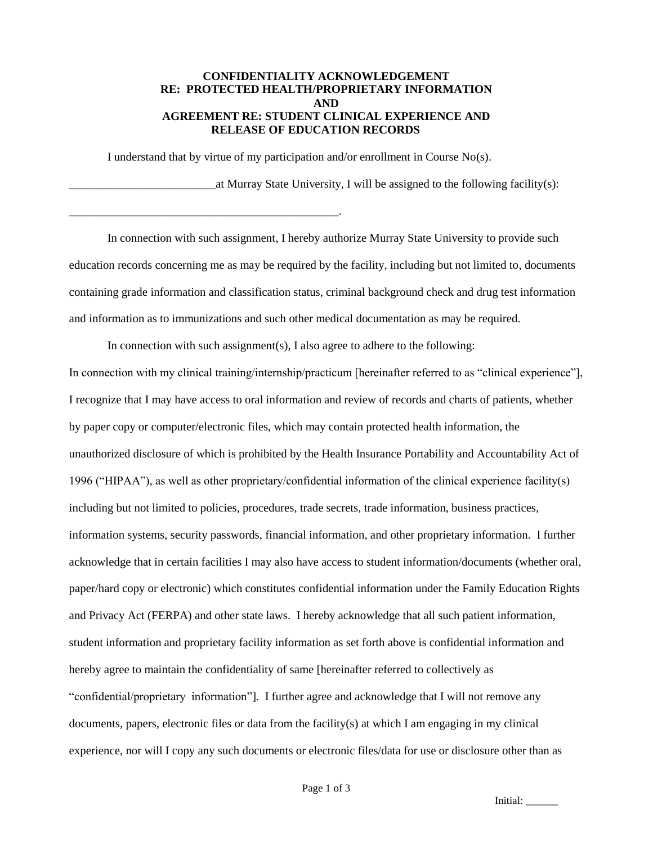## **CONFIDENTIALITY ACKNOWLEDGEMENT RE: PROTECTED HEALTH/PROPRIETARY INFORMATION AND AGREEMENT RE: STUDENT CLINICAL EXPERIENCE AND RELEASE OF EDUCATION RECORDS**

I understand that by virtue of my participation and/or enrollment in Course  $No(s)$ .

\_\_\_\_\_\_\_\_\_\_\_\_\_\_\_\_\_\_\_\_\_\_\_\_\_\_\_\_\_\_\_\_\_\_\_\_\_\_\_\_\_\_\_\_\_\_.

 $\Delta$  at Murray State University, I will be assigned to the following facility(s):

In connection with such assignment, I hereby authorize Murray State University to provide such education records concerning me as may be required by the facility, including but not limited to, documents containing grade information and classification status, criminal background check and drug test information and information as to immunizations and such other medical documentation as may be required.

In connection with such assignment(s), I also agree to adhere to the following:

In connection with my clinical training/internship/practicum [hereinafter referred to as "clinical experience"], I recognize that I may have access to oral information and review of records and charts of patients, whether by paper copy or computer/electronic files, which may contain protected health information, the unauthorized disclosure of which is prohibited by the Health Insurance Portability and Accountability Act of 1996 ("HIPAA"), as well as other proprietary/confidential information of the clinical experience facility(s) including but not limited to policies, procedures, trade secrets, trade information, business practices, information systems, security passwords, financial information, and other proprietary information. I further acknowledge that in certain facilities I may also have access to student information/documents (whether oral, paper/hard copy or electronic) which constitutes confidential information under the Family Education Rights and Privacy Act (FERPA) and other state laws. I hereby acknowledge that all such patient information, student information and proprietary facility information as set forth above is confidential information and hereby agree to maintain the confidentiality of same [hereinafter referred to collectively as "confidential/proprietary information"]. I further agree and acknowledge that I will not remove any documents, papers, electronic files or data from the facility(s) at which I am engaging in my clinical experience, nor will I copy any such documents or electronic files/data for use or disclosure other than as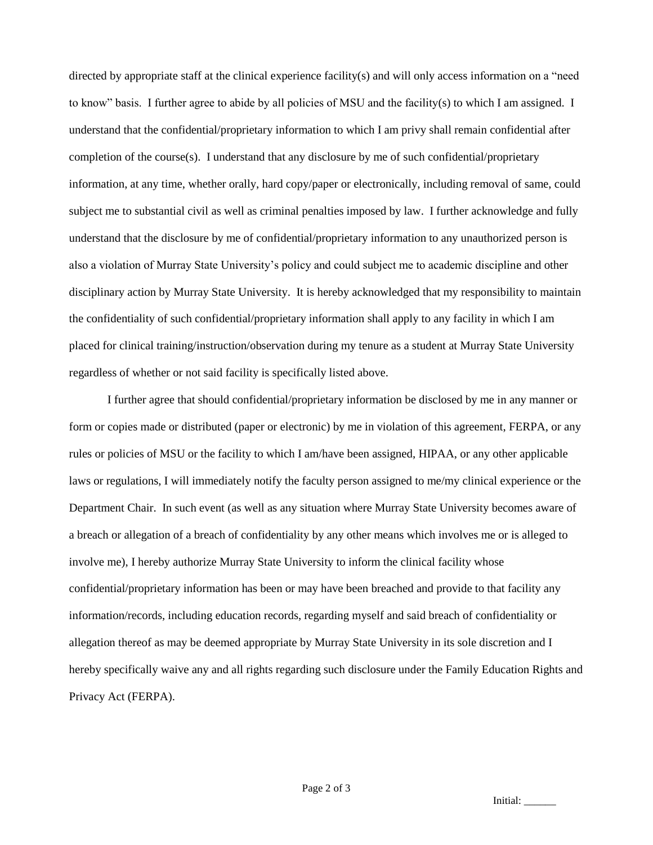directed by appropriate staff at the clinical experience facility(s) and will only access information on a "need to know" basis. I further agree to abide by all policies of MSU and the facility(s) to which I am assigned. I understand that the confidential/proprietary information to which I am privy shall remain confidential after completion of the course(s). I understand that any disclosure by me of such confidential/proprietary information, at any time, whether orally, hard copy/paper or electronically, including removal of same, could subject me to substantial civil as well as criminal penalties imposed by law. I further acknowledge and fully understand that the disclosure by me of confidential/proprietary information to any unauthorized person is also a violation of Murray State University's policy and could subject me to academic discipline and other disciplinary action by Murray State University. It is hereby acknowledged that my responsibility to maintain the confidentiality of such confidential/proprietary information shall apply to any facility in which I am placed for clinical training/instruction/observation during my tenure as a student at Murray State University regardless of whether or not said facility is specifically listed above.

I further agree that should confidential/proprietary information be disclosed by me in any manner or form or copies made or distributed (paper or electronic) by me in violation of this agreement, FERPA, or any rules or policies of MSU or the facility to which I am/have been assigned, HIPAA, or any other applicable laws or regulations, I will immediately notify the faculty person assigned to me/my clinical experience or the Department Chair. In such event (as well as any situation where Murray State University becomes aware of a breach or allegation of a breach of confidentiality by any other means which involves me or is alleged to involve me), I hereby authorize Murray State University to inform the clinical facility whose confidential/proprietary information has been or may have been breached and provide to that facility any information/records, including education records, regarding myself and said breach of confidentiality or allegation thereof as may be deemed appropriate by Murray State University in its sole discretion and I hereby specifically waive any and all rights regarding such disclosure under the Family Education Rights and Privacy Act (FERPA).